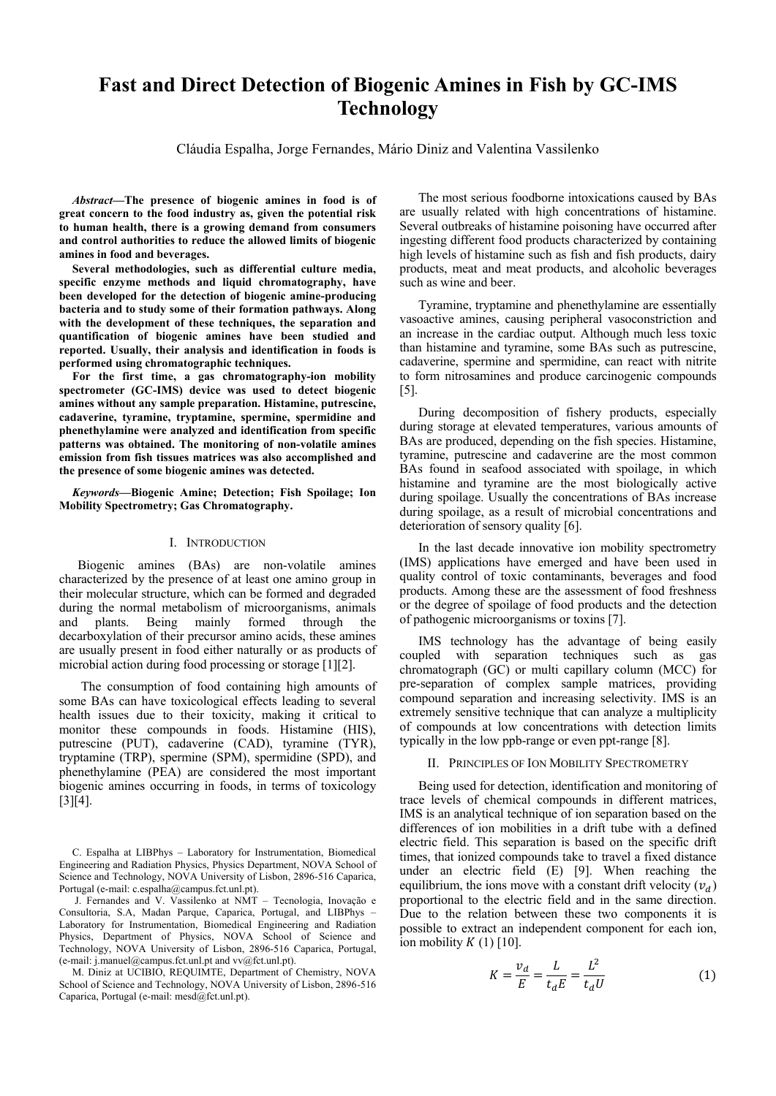# **Fast and Direct Detection of Biogenic Amines in Fish by GC-IMS Technology**

Cláudia Espalha, Jorge Fernandes, Mário Diniz and Valentina Vassilenko

*Abstract***—The presence of biogenic amines in food is of great concern to the food industry as, given the potential risk to human health, there is a growing demand from consumers and control authorities to reduce the allowed limits of biogenic amines in food and beverages.** 

**Several methodologies, such as differential culture media, specific enzyme methods and liquid chromatography, have been developed for the detection of biogenic amine-producing bacteria and to study some of their formation pathways. Along with the development of these techniques, the separation and quantification of biogenic amines have been studied and reported. Usually, their analysis and identification in foods is performed using chromatographic techniques.** 

**For the first time, a gas chromatography-ion mobility spectrometer (GC-IMS) device was used to detect biogenic amines without any sample preparation. Histamine, putrescine, cadaverine, tyramine, tryptamine, spermine, spermidine and phenethylamine were analyzed and identification from specific patterns was obtained. The monitoring of non-volatile amines emission from fish tissues matrices was also accomplished and the presence of some biogenic amines was detected.**

*Keywords***—Biogenic Amine; Detection; Fish Spoilage; Ion Mobility Spectrometry; Gas Chromatography.**

#### I. INTRODUCTION

Biogenic amines (BAs) are non-volatile amines characterized by the presence of at least one amino group in their molecular structure, which can be formed and degraded during the normal metabolism of microorganisms, animals and plants. Being mainly formed through the and plants. Being mainly formed through the decarboxylation of their precursor amino acids, these amines are usually present in food either naturally or as products of microbial action during food processing or storage [1][2].

The consumption of food containing high amounts of some BAs can have toxicological effects leading to several health issues due to their toxicity, making it critical to monitor these compounds in foods. Histamine (HIS), putrescine (PUT), cadaverine (CAD), tyramine (TYR), tryptamine (TRP), spermine (SPM), spermidine (SPD), and phenethylamine (PEA) are considered the most important biogenic amines occurring in foods, in terms of toxicology [3][4].

J. Fernandes and V. Vassilenko at NMT – Tecnologia, Inovação e Consultoria, S.A, Madan Parque, Caparica, Portugal, and LIBPhys – Laboratory for Instrumentation, Biomedical Engineering and Radiation Physics, Department of Physics, NOVA School of Science and Technology, NOVA University of Lisbon, 2896-516 Caparica, Portugal, (e-mail: j.manuel@campus.fct.unl.pt and vv@fct.unl.pt).

M. Diniz at UCIBIO, REQUIMTE, Department of Chemistry, NOVA School of Science and Technology, NOVA University of Lisbon, 2896-516 Caparica, Portugal (e-mail: mesd@fct.unl.pt).

The most serious foodborne intoxications caused by BAs are usually related with high concentrations of histamine. Several outbreaks of histamine poisoning have occurred after ingesting different food products characterized by containing high levels of histamine such as fish and fish products, dairy products, meat and meat products, and alcoholic beverages such as wine and beer.

Tyramine, tryptamine and phenethylamine are essentially vasoactive amines, causing peripheral vasoconstriction and an increase in the cardiac output. Although much less toxic than histamine and tyramine, some BAs such as putrescine, cadaverine, spermine and spermidine, can react with nitrite to form nitrosamines and produce carcinogenic compounds [5].

During decomposition of fishery products, especially during storage at elevated temperatures, various amounts of BAs are produced, depending on the fish species. Histamine, tyramine, putrescine and cadaverine are the most common BAs found in seafood associated with spoilage, in which histamine and tyramine are the most biologically active during spoilage. Usually the concentrations of BAs increase during spoilage, as a result of microbial concentrations and deterioration of sensory quality [6].

In the last decade innovative ion mobility spectrometry (IMS) applications have emerged and have been used in quality control of toxic contaminants, beverages and food products. Among these are the assessment of food freshness or the degree of spoilage of food products and the detection of pathogenic microorganisms or toxins [7].

IMS technology has the advantage of being easily coupled with separation techniques such as gas chromatograph (GC) or multi capillary column (MCC) for pre-separation of complex sample matrices, providing compound separation and increasing selectivity. IMS is an extremely sensitive technique that can analyze a multiplicity of compounds at low concentrations with detection limits typically in the low ppb-range or even ppt-range [8].

## II. PRINCIPLES OF ION MOBILITY SPECTROMETRY

Being used for detection, identification and monitoring of trace levels of chemical compounds in different matrices, IMS is an analytical technique of ion separation based on the differences of ion mobilities in a drift tube with a defined electric field. This separation is based on the specific drift times, that ionized compounds take to travel a fixed distance under an electric field (E) [9]. When reaching the equilibrium, the ions move with a constant drift velocity  $(v_d)$ proportional to the electric field and in the same direction. Due to the relation between these two components it is possible to extract an independent component for each ion, ion mobility  $K(1)$  [10].

$$
K = \frac{v_d}{E} = \frac{L}{t_d E} = \frac{L^2}{t_d U} \tag{1}
$$

C. Espalha at LIBPhys – Laboratory for Instrumentation, Biomedical Engineering and Radiation Physics, Physics Department, NOVA School of Science and Technology, NOVA University of Lisbon, 2896-516 Caparica, Portugal (e-mail: c.espalha@campus.fct.unl.pt).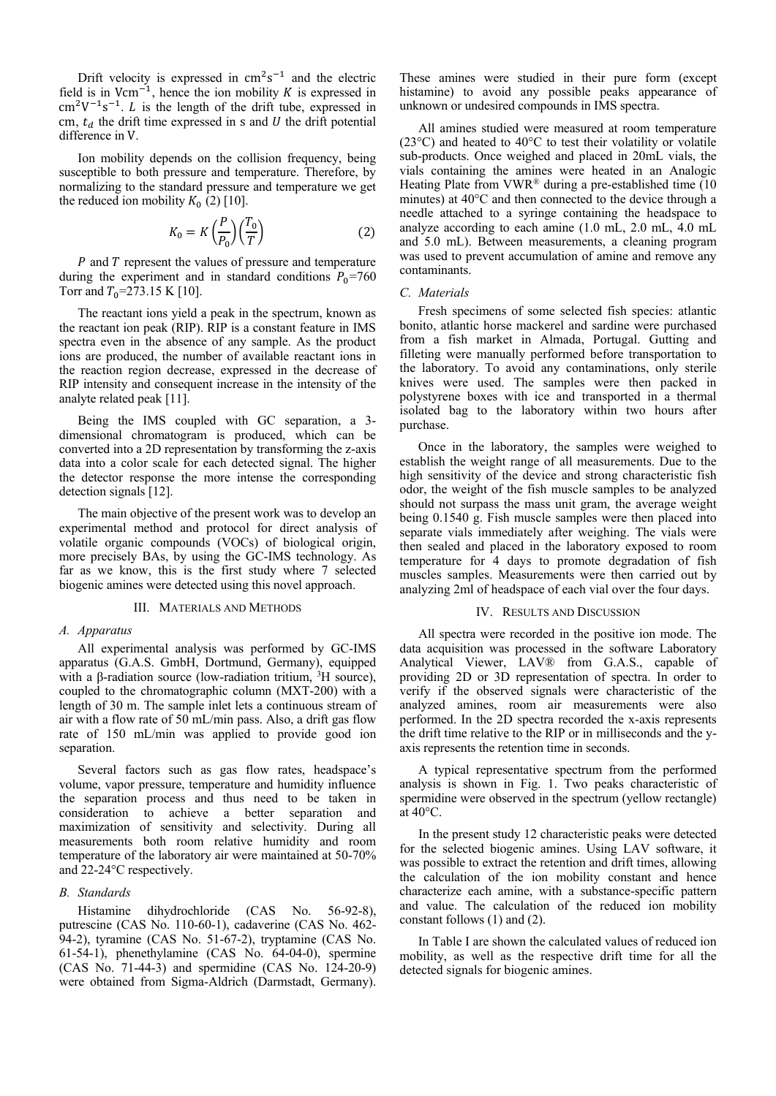Drift velocity is expressed in  $cm^2s^{-1}$  and the electric field is in Vcm<sup>-1</sup>, hence the ion mobility  $K$  is expressed in  $\text{cm}^2\text{V}^{-1}\text{s}^{-1}$ . *L* is the length of the drift tube, expressed in cm,  $t_d$  the drift time expressed in s and U the drift potential difference in V.

Ion mobility depends on the collision frequency, being susceptible to both pressure and temperature. Therefore, by normalizing to the standard pressure and temperature we get the reduced ion mobility  $K_0$  (2) [10].

$$
K_0 = K\left(\frac{P}{P_0}\right)\left(\frac{T_0}{T}\right) \tag{2}
$$

 $P$  and  $T$  represent the values of pressure and temperature during the experiment and in standard conditions  $P_0$ =760 Torr and  $T_0$ =273.15 K [10].

The reactant ions yield a peak in the spectrum, known as the reactant ion peak (RIP). RIP is a constant feature in IMS spectra even in the absence of any sample. As the product ions are produced, the number of available reactant ions in the reaction region decrease, expressed in the decrease of RIP intensity and consequent increase in the intensity of the analyte related peak [11].

Being the IMS coupled with GC separation, a 3 dimensional chromatogram is produced, which can be converted into a 2D representation by transforming the z-axis data into a color scale for each detected signal. The higher the detector response the more intense the corresponding detection signals [12].

The main objective of the present work was to develop an experimental method and protocol for direct analysis of volatile organic compounds (VOCs) of biological origin, more precisely BAs, by using the GC-IMS technology. As far as we know, this is the first study where 7 selected biogenic amines were detected using this novel approach.

## III. MATERIALS AND METHODS

#### *A. Apparatus*

All experimental analysis was performed by GC-IMS apparatus (G.A.S. GmbH, Dortmund, Germany), equipped with a β-radiation source (low-radiation tritium,  ${}^{3}$ H source), coupled to the chromatographic column (MXT-200) with a length of 30 m. The sample inlet lets a continuous stream of air with a flow rate of 50 mL/min pass. Also, a drift gas flow rate of 150 mL/min was applied to provide good ion separation.

Several factors such as gas flow rates, headspace's volume, vapor pressure, temperature and humidity influence the separation process and thus need to be taken in consideration to achieve a better separation and maximization of sensitivity and selectivity. During all measurements both room relative humidity and room temperature of the laboratory air were maintained at 50-70% and 22-24°C respectively.

# *B. Standards*

Histamine dihydrochloride (CAS No. 56-92-8), putrescine (CAS No. 110-60-1), cadaverine (CAS No. 462- 94-2), tyramine (CAS No. 51-67-2), tryptamine (CAS No. 61-54-1), phenethylamine (CAS No. 64-04-0), spermine (CAS No. 71-44-3) and spermidine (CAS No. 124-20-9) were obtained from Sigma-Aldrich (Darmstadt, Germany).

These amines were studied in their pure form (except histamine) to avoid any possible peaks appearance of unknown or undesired compounds in IMS spectra.

All amines studied were measured at room temperature (23°C) and heated to 40°C to test their volatility or volatile sub-products. Once weighed and placed in 20mL vials, the vials containing the amines were heated in an Analogic Heating Plate from VWR® during a pre-established time (10 minutes) at 40°C and then connected to the device through a needle attached to a syringe containing the headspace to analyze according to each amine (1.0 mL, 2.0 mL, 4.0 mL and 5.0 mL). Between measurements, a cleaning program was used to prevent accumulation of amine and remove any contaminants.

## *C. Materials*

Fresh specimens of some selected fish species: atlantic bonito, atlantic horse mackerel and sardine were purchased from a fish market in Almada, Portugal. Gutting and filleting were manually performed before transportation to the laboratory. To avoid any contaminations, only sterile knives were used. The samples were then packed in polystyrene boxes with ice and transported in a thermal isolated bag to the laboratory within two hours after purchase.

Once in the laboratory, the samples were weighed to establish the weight range of all measurements. Due to the high sensitivity of the device and strong characteristic fish odor, the weight of the fish muscle samples to be analyzed should not surpass the mass unit gram, the average weight being 0.1540 g. Fish muscle samples were then placed into separate vials immediately after weighing. The vials were then sealed and placed in the laboratory exposed to room temperature for 4 days to promote degradation of fish muscles samples. Measurements were then carried out by analyzing 2ml of headspace of each vial over the four days.

### IV. RESULTS AND DISCUSSION

All spectra were recorded in the positive ion mode. The data acquisition was processed in the software Laboratory Analytical Viewer, LAV® from G.A.S., capable of providing 2D or 3D representation of spectra. In order to verify if the observed signals were characteristic of the analyzed amines, room air measurements were also performed. In the 2D spectra recorded the x-axis represents the drift time relative to the RIP or in milliseconds and the yaxis represents the retention time in seconds.

A typical representative spectrum from the performed analysis is shown in Fig. 1. Two peaks characteristic of spermidine were observed in the spectrum (yellow rectangle) at 40°C.

In the present study 12 characteristic peaks were detected for the selected biogenic amines. Using LAV software, it was possible to extract the retention and drift times, allowing the calculation of the ion mobility constant and hence characterize each amine, with a substance-specific pattern and value. The calculation of the reduced ion mobility constant follows (1) and (2).

In Table I are shown the calculated values of reduced ion mobility, as well as the respective drift time for all the detected signals for biogenic amines.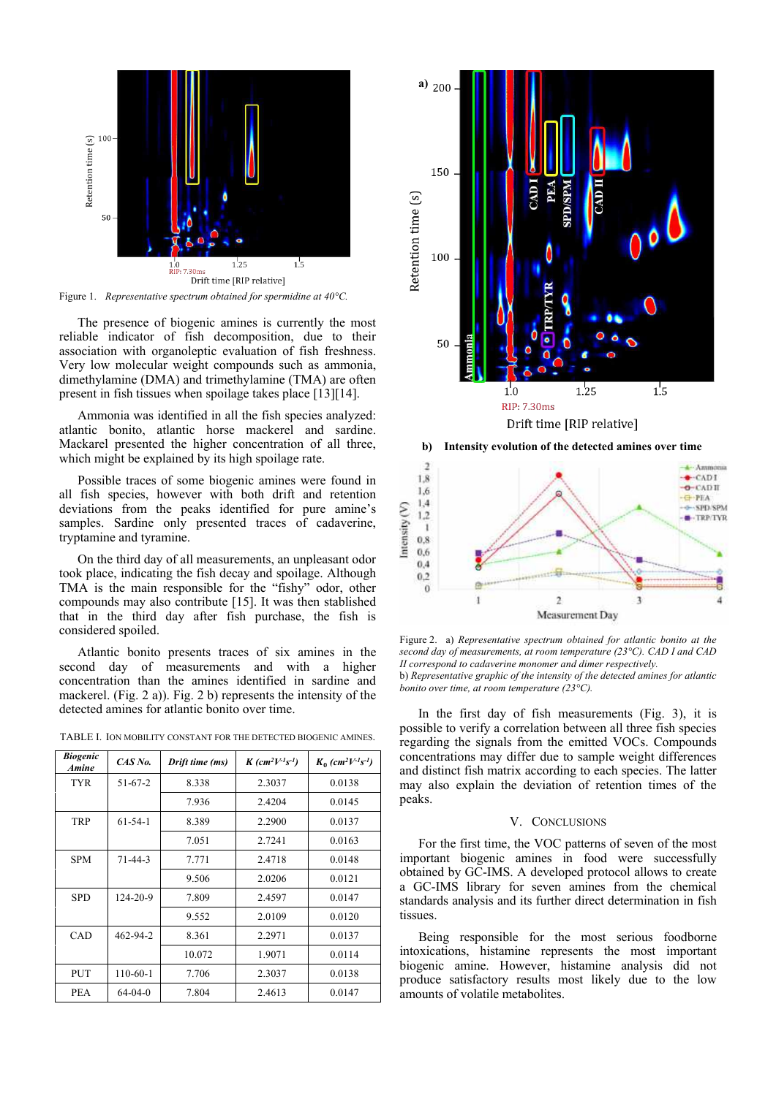

Figure 1. *Representative spectrum obtained for spermidine at 40°C.*

The presence of biogenic amines is currently the most reliable indicator of fish decomposition, due to their association with organoleptic evaluation of fish freshness. Very low molecular weight compounds such as ammonia, dimethylamine (DMA) and trimethylamine (TMA) are often present in fish tissues when spoilage takes place [13][14].

Ammonia was identified in all the fish species analyzed: atlantic bonito, atlantic horse mackerel and sardine. Mackarel presented the higher concentration of all three, which might be explained by its high spoilage rate.

Possible traces of some biogenic amines were found in all fish species, however with both drift and retention deviations from the peaks identified for pure amine's samples. Sardine only presented traces of cadaverine, tryptamine and tyramine.

On the third day of all measurements, an unpleasant odor took place, indicating the fish decay and spoilage. Although TMA is the main responsible for the "fishy" odor, other compounds may also contribute [15]. It was then stablished that in the third day after fish purchase, the fish is considered spoiled.

Atlantic bonito presents traces of six amines in the second day of measurements and with a higher concentration than the amines identified in sardine and mackerel. (Fig. 2 a)). Fig. 2 b) represents the intensity of the detected amines for atlantic bonito over time.

| TABLE I. ION MOBILITY CONSTANT FOR THE DETECTED BIOGENIC AMINES. |  |  |  |
|------------------------------------------------------------------|--|--|--|
|                                                                  |  |  |  |

| <b>Biogenic</b><br><b>Amine</b> | CAS No.        | Drift time (ms) | $K$ (cm <sup>2</sup> $V$ <sup>-1</sup> s <sup>-1</sup> ) | $K_0$ (cm <sup>2</sup> $V^{-1}S^{-1}$ ) |
|---------------------------------|----------------|-----------------|----------------------------------------------------------|-----------------------------------------|
| <b>TYR</b>                      | $51 - 67 - 2$  | 8.338           | 2.3037                                                   | 0.0138                                  |
|                                 |                | 7.936           | 2.4204                                                   | 0.0145                                  |
| <b>TRP</b>                      | $61 - 54 - 1$  | 8.389           | 2.2900                                                   | 0.0137                                  |
|                                 |                | 7.051           | 2.7241                                                   | 0.0163                                  |
| <b>SPM</b>                      | $71 - 44 - 3$  | 7.771           | 2.4718                                                   | 0.0148                                  |
|                                 |                | 9.506           | 2.0206                                                   | 0.0121                                  |
| <b>SPD</b>                      | $124 - 20 - 9$ | 7.809           | 2.4597                                                   | 0.0147                                  |
|                                 |                | 9.552           | 2.0109                                                   | 0.0120                                  |
| CAD                             | 462-94-2       | 8.361           | 2.2971                                                   | 0.0137                                  |
|                                 |                | 10.072          | 1.9071                                                   | 0.0114                                  |
| <b>PUT</b>                      | 110-60-1       | 7.706           | 2.3037                                                   | 0.0138                                  |
| <b>PEA</b>                      | $64-04-0$      | 7.804           | 2.4613                                                   | 0.0147                                  |



**b) Intensity evolution of the detected amines over time**



Figure 2. a) *Representative spectrum obtained for atlantic bonito at the second day of measurements, at room temperature (23°C). CAD I and CAD II correspond to cadaverine monomer and dimer respectively.* b) *Representative graphic of the intensity of the detected amines for atlantic bonito over time, at room temperature (23°C).* 

In the first day of fish measurements (Fig. 3), it is possible to verify a correlation between all three fish species regarding the signals from the emitted VOCs. Compounds concentrations may differ due to sample weight differences and distinct fish matrix according to each species. The latter may also explain the deviation of retention times of the peaks.

# V. CONCLUSIONS

For the first time, the VOC patterns of seven of the most important biogenic amines in food were successfully obtained by GC-IMS. A developed protocol allows to create a GC-IMS library for seven amines from the chemical standards analysis and its further direct determination in fish tissues.

Being responsible for the most serious foodborne intoxications, histamine represents the most important biogenic amine. However, histamine analysis did not produce satisfactory results most likely due to the low amounts of volatile metabolites.